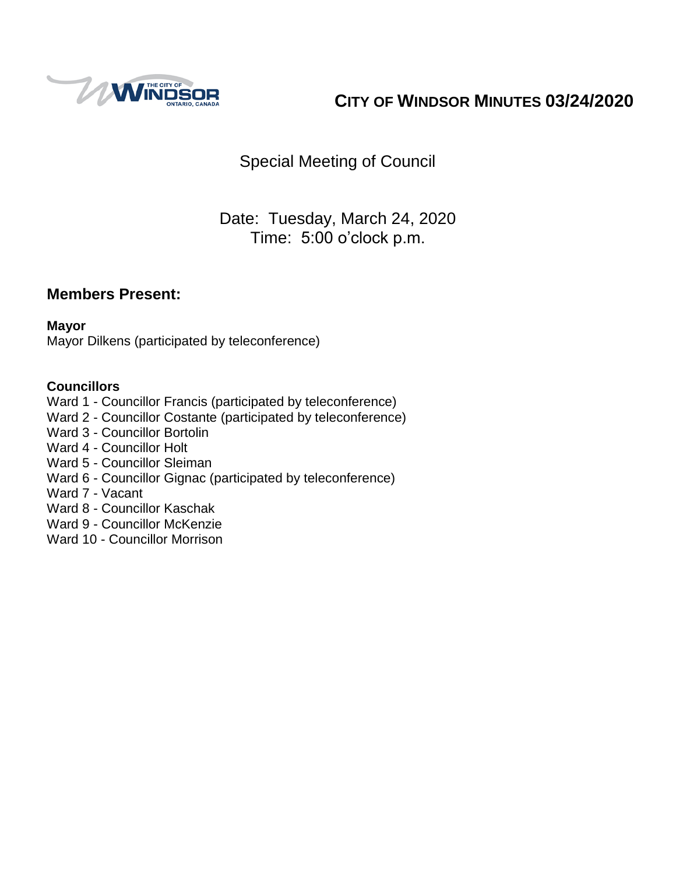

# **CITY OF WINDSOR MINUTES 03/24/2020**

Special Meeting of Council

## Date: Tuesday, March 24, 2020 Time: 5:00 o'clock p.m.

### **Members Present:**

#### **Mayor**

Mayor Dilkens (participated by teleconference)

#### **Councillors**

- Ward 1 Councillor Francis (participated by teleconference)
- Ward 2 Councillor Costante (participated by teleconference)
- Ward 3 Councillor Bortolin
- Ward 4 Councillor Holt
- Ward 5 Councillor Sleiman
- Ward 6 Councillor Gignac (participated by teleconference)
- Ward 7 Vacant
- Ward 8 Councillor Kaschak
- Ward 9 Councillor McKenzie
- Ward 10 Councillor Morrison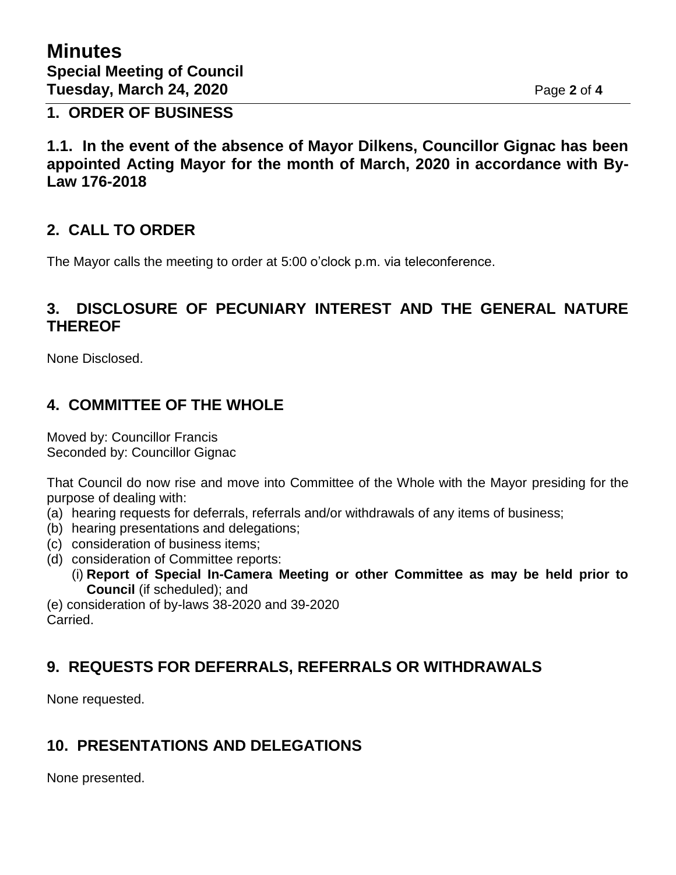**1. ORDER OF BUSINESS**

**1.1. In the event of the absence of Mayor Dilkens, Councillor Gignac has been appointed Acting Mayor for the month of March, 2020 in accordance with By-Law 176-2018**

### **2. CALL TO ORDER**

The Mayor calls the meeting to order at 5:00 o'clock p.m. via teleconference.

### **3. DISCLOSURE OF PECUNIARY INTEREST AND THE GENERAL NATURE THEREOF**

None Disclosed.

### **4. COMMITTEE OF THE WHOLE**

Moved by: Councillor Francis Seconded by: Councillor Gignac

That Council do now rise and move into Committee of the Whole with the Mayor presiding for the purpose of dealing with:

- (a) hearing requests for deferrals, referrals and/or withdrawals of any items of business;
- (b) hearing presentations and delegations;
- (c) consideration of business items;
- (d) consideration of Committee reports:
	- (i) **Report of Special In-Camera Meeting or other Committee as may be held prior to Council** (if scheduled); and

(e) consideration of by-laws 38-2020 and 39-2020 Carried.

## **9. REQUESTS FOR DEFERRALS, REFERRALS OR WITHDRAWALS**

None requested.

## **10. PRESENTATIONS AND DELEGATIONS**

None presented.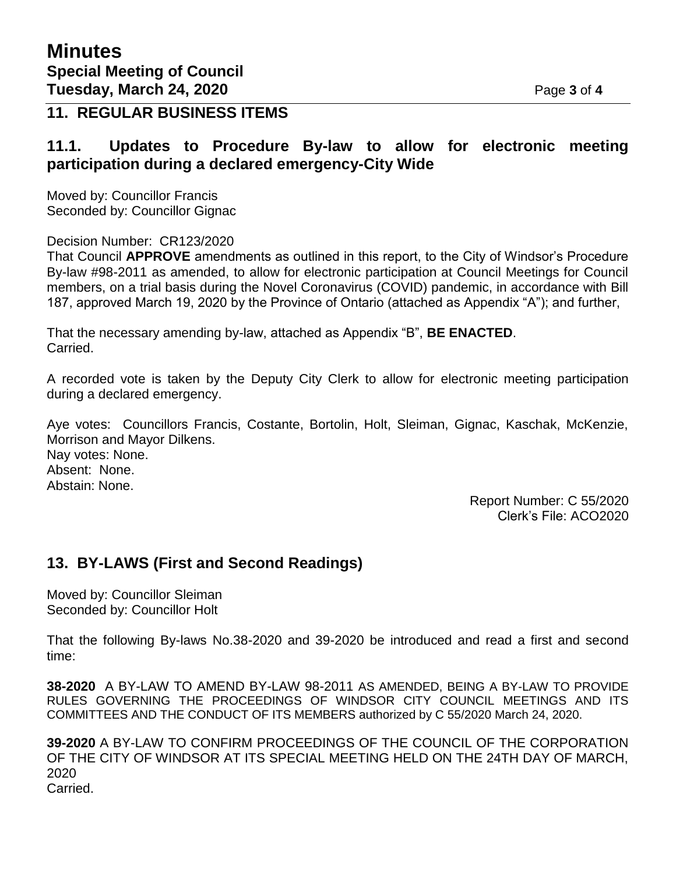#### **11. REGULAR BUSINESS ITEMS**

#### **11.1. Updates to Procedure By-law to allow for electronic meeting participation during a declared emergency-City Wide**

Moved by: Councillor Francis Seconded by: Councillor Gignac

Decision Number: CR123/2020

That Council **APPROVE** amendments as outlined in this report, to the City of Windsor's Procedure By-law #98-2011 as amended, to allow for electronic participation at Council Meetings for Council members, on a trial basis during the Novel Coronavirus (COVID) pandemic, in accordance with Bill 187, approved March 19, 2020 by the Province of Ontario (attached as Appendix "A"); and further,

That the necessary amending by-law, attached as Appendix "B", **BE ENACTED**. Carried.

A recorded vote is taken by the Deputy City Clerk to allow for electronic meeting participation during a declared emergency.

Aye votes: Councillors Francis, Costante, Bortolin, Holt, Sleiman, Gignac, Kaschak, McKenzie, Morrison and Mayor Dilkens.

Nay votes: None. Absent: None. Abstain: None.

> Report Number: C 55/2020 Clerk's File: ACO2020

### **13. BY-LAWS (First and Second Readings)**

Moved by: Councillor Sleiman Seconded by: Councillor Holt

That the following By-laws No.38-2020 and 39-2020 be introduced and read a first and second time:

**38-2020** A BY-LAW TO AMEND BY-LAW 98-2011 AS AMENDED, BEING A BY-LAW TO PROVIDE RULES GOVERNING THE PROCEEDINGS OF WINDSOR CITY COUNCIL MEETINGS AND ITS COMMITTEES AND THE CONDUCT OF ITS MEMBERS authorized by C 55/2020 March 24, 2020.

**39-2020** A BY-LAW TO CONFIRM PROCEEDINGS OF THE COUNCIL OF THE CORPORATION OF THE CITY OF WINDSOR AT ITS SPECIAL MEETING HELD ON THE 24TH DAY OF MARCH, 2020

Carried.